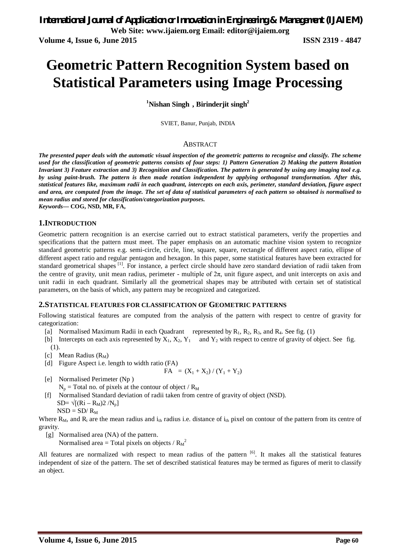# **Geometric Pattern Recognition System based on Statistical Parameters using Image Processing**

**<sup>1</sup>Nishan Singh , Birinderjit singh<sup>2</sup>**

SVIET, Banur, Punjab, INDIA

### ABSTRACT

*The presented paper deals with the automatic visual inspection of the geometric patterns to recognise and classify. The scheme used for the classification of geometric patterns consists of four steps: 1) Pattern Generation 2) Making the pattern Rotation Invariant 3) Feature extraction and 3) Recognition and Classification. The pattern is generated by using any imaging tool e.g. by using paint-brush. The pattern is then made rotation independent by applying orthogonal transformation. After this, statistical features like, maximum radii in each quadrant, intercepts on each axis, perimeter, standard deviation, figure aspect and area, are computed from the image. The set of data of statistical parameters of each pattern so obtained is normalised to mean radius and stored for classification/categorization purposes. Keywords***— COG, NSD, MR, FA,** 

**1.INTRODUCTION**

Geometric pattern recognition is an exercise carried out to extract statistical parameters, verify the properties and specifications that the pattern must meet. The paper emphasis on an automatic machine vision system to recognize standard geometric patterns e.g. semi-circle, circle, line, square, square, rectangle of different aspect ratio, ellipse of different aspect ratio and regular pentagon and hexagon. In this paper, some statistical features have been extracted for standard geometrical shapes <sup>[1]</sup>. For instance, a perfect circle should have zero standard deviation of radii taken from the centre of gravity, unit mean radius, perimeter - multiple of  $2\pi$ , unit figure aspect, and unit intercepts on axis and unit radii in each quadrant. Similarly all the geometrical shapes may be attributed with certain set of statistical parameters, on the basis of which, any pattern may be recognized and categorized.

### **2.STATISTICAL FEATURES FOR CLASSIFICATION OF GEOMETRIC PATTERNS**

Following statistical features are computed from the analysis of the pattern with respect to centre of gravity for categorization:

- [a] Normalised Maximum Radii in each Quadrant represented by  $R_1$ ,  $R_2$ ,  $R_3$ , and  $R_4$ . See fig. (1)
- [b] Intercepts on each axis represented by  $X_1, X_2, Y_1$  and  $Y_2$  with respect to centre of gravity of object. See fig. (1).
- [c] Mean Radius  $(R_M)$
- [d] Figure Aspect i.e. length to width ratio (FA)

FA = 
$$
(X_1 + X_2) / (Y_1 + Y_2)
$$

- [e] Normalised Perimeter (Np )
	- $N_p$  = Total no. of pixels at the contour of object /  $R_M$
- [f] Normalised Standard deviation of radii taken from centre of gravity of object (NSD). SD=  $\sqrt{[(Ri - R_M)2/N_p]}$ 
	- $NSD = SD/R<sub>M</sub>$

Where  $R_M$ , and  $R_i$  are the mean radius and  $i_{th}$  radius i.e. distance of  $i_{th}$  pixel on contour of the pattern from its centre of gravity.

[g] Normalised area (NA) of the pattern.

Normalised area = Total pixels on objects /  $R_M^2$ 

All features are normalized with respect to mean radius of the pattern [6]. It makes all the statistical features independent of size of the pattern. The set of described statistical features may be termed as figures of merit to classify an object.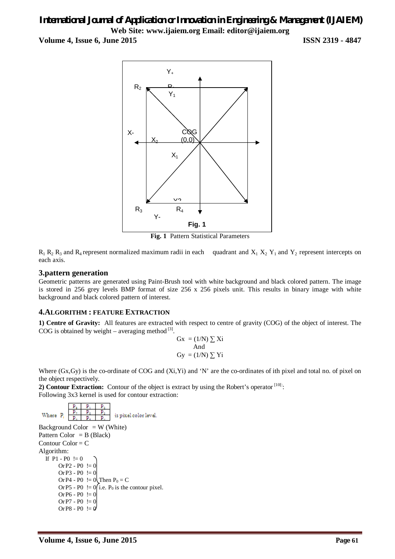# *International Journal of Application or Innovation in Engineering & Management (IJAIEM)* **Web Site: www.ijaiem.org Email: editor@ijaiem.org**

**Volume 4, Issue 6, June 2015 ISSN 2319 - 4847**



**Fig. 1** Pattern Statistical Parameters

 $R_1 R_2 R_3$  and  $R_4$  represent normalized maximum radii in each quadrant and  $X_1 X_2 Y_1$  and  $Y_2$  represent intercepts on each axis.

### **3.pattern generation**

Geometric patterns are generated using Paint-Brush tool with white background and black colored pattern. The image is stored in 256 grey levels BMP format of size 256 x 256 pixels unit. This results in binary image with white background and black colored pattern of interest.

### **4.ALGORITHM : FEATURE EXTRACTION**

**1) Centre of Gravity:** All features are extracted with respect to centre of gravity (COG) of the object of interest. The COG is obtained by weight – averaging method  $^{[3]}$ .

$$
Gx = (1/N) \sum Xi
$$
  
And  

$$
Gy = (1/N) \sum Yi
$$

Where (Gx,Gy) is the co-ordinate of COG and (Xi,Yi) and 'N' are the co-ordinates of ith pixel and total no. of pixel on the object respectively.

2) **Contour Extraction:** Contour of the object is extract by using the Robert's operator <sup>[10]</sup>: Following 3x3 kernel is used for contour extraction:

| $P_i$                         | $P_1$ | $P_2$ | $P_3$ | $P_4$ |
|-------------------------------|-------|-------|-------|-------|
| Blackground Color = W (White) |       |       |       |       |
| Pattern Color = B (Black)     |       |       |       |       |
| Contour Color = C             |       |       |       |       |
| Algorithm:                    |       |       |       |       |
| If P1 - P0 != 0               |       |       |       |       |
| Or P2 - P0 != 0               |       |       |       |       |
| Or P3 - P0 != 0               |       |       |       |       |
| Or P4 - P0 != 0               |       |       |       |       |
| Or P5 - P0 != 0               |       |       |       |       |
| Or P5 - P0 != 0               |       |       |       |       |
| Or P6 - P0 != 0               |       |       |       |       |
| Or P6 - P0 != 0               |       |       |       |       |
| Or P7 - P0 != 0               |       |       |       |       |
| Or P8 - P0 != 0               |       |       |       |       |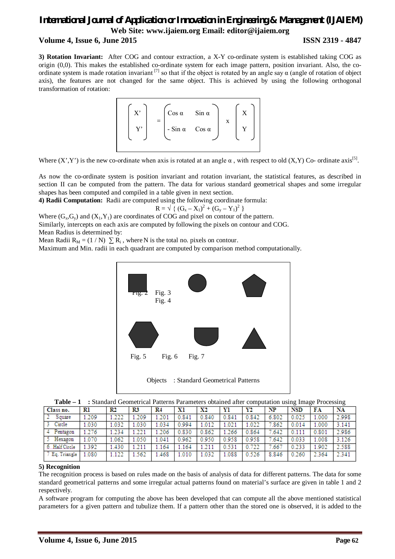# *International Journal of Application or Innovation in Engineering & Management (IJAIEM)* **Web Site: www.ijaiem.org Email: editor@ijaiem.org Volume 4, Issue 6, June 2015 ISSN 2319 - 4847**

**3) Rotation Invariant:** After COG and contour extraction, a X-Y co-ordinate system is established taking COG as origin (0,0). This makes the established co-ordinate system for each image pattern, position invariant. Also, the coordinate system is made rotation invariant  $^{[7]}$  so that if the object is rotated by an angle say  $\alpha$  (angle of rotation of object axis), the features are not changed for the same object. This is achieved by using the following orthogonal transformation of rotation:



Where  $(X', Y')$  is the new co-ordinate when axis is rotated at an angle  $\alpha$ , with respect to old  $(X, Y)$  Co-ordinate axis<sup>[5]</sup>.

As now the co-ordinate system is position invariant and rotation invariant, the statistical features, as described in section II can be computed from the pattern. The data for various standard geometrical shapes and some irregular shapes has been computed and compiled in a table given in next section.

**4) Radii Computation:**Radii are computed using the following coordinate formula:

$$
R = \sqrt{{(G_x - X_1)}^2 + (G_y - Y_1)^2}
$$

Where  $(G_x, G_y)$  and  $(X_1, Y_1)$  are coordinates of COG and pixel on contour of the pattern. Similarly, intercepts on each axis are computed by following the pixels on contour and COG.

Mean Radius is determined by:

Mean Radii  $R_M = (1 / N) \sum R_i$ , where N is the total no. pixels on contour.

Maximum and Min. radii in each quadrant are computed by comparison method computationally.



| Table - 1 : Standard Geometrical Patterns Parameters obtained after computation using Image Processing |  |
|--------------------------------------------------------------------------------------------------------|--|
|--------------------------------------------------------------------------------------------------------|--|

| Class no.      | Rl    | R2    | R3    | R4    | хı    | X2    | Yl    | Y2    | NP    | <b>NSD</b> | FA    | NA    |
|----------------|-------|-------|-------|-------|-------|-------|-------|-------|-------|------------|-------|-------|
| Square         | 1.209 | 1.222 | 209ء  | 1.201 | 0.841 | 0.840 | 0.841 | 0.842 | 6.802 | 0.025      | 1.000 | 2.998 |
| Circle         | 1.030 | 1.032 | 1.030 | 1.034 | 0.994 | 1.012 | 1.021 | 1.022 | .862  | 0.014      | 1.000 | 3.141 |
| Pentagon       | 1.276 | .234  | 221   | 1.206 | .830  | 0.862 | 1.266 | 0.864 | 7.642 | 0.111      | 0.801 | 2.986 |
| Hexagon        | 1.070 | .062  | 1.050 | 1.041 | 0.962 | 0.950 | 0.958 | 0.958 | 7.642 | 0.033      | 1.008 | 3.126 |
| 6. Half Circle | 1.392 | .430  | 1.211 | 1.164 | .164  | 1.211 | 0.531 | 0.722 | .667  | 0.233      | 1.902 | 2.588 |
| 7 Eq. Triangle | .080  | 1.122 | 1.562 | .468  | .010  | 1.032 | 1.088 | 0.526 | 8.846 | 0.260      | 2.364 | 2.341 |

### **5) Recognition**

The recognition process is based on rules made on the basis of analysis of data for different patterns. The data for some standard geometrical patterns and some irregular actual patterns found on material's surface are given in table 1 and 2 respectively.

A software program for computing the above has been developed that can compute all the above mentioned statistical parameters for a given pattern and tubulize them. If a pattern other than the stored one is observed, it is added to the